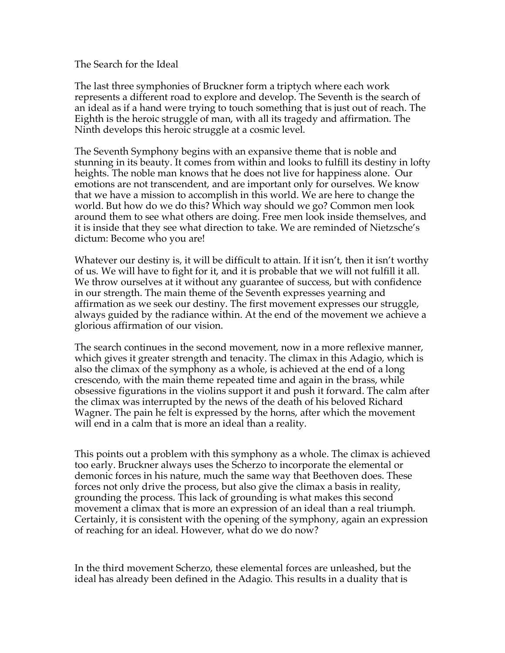The Search for the Ideal

The last three symphonies of Bruckner form a triptych where each work represents a different road to explore and develop. The Seventh is the search of an ideal as if a hand were trying to touch something that is just out of reach. The Eighth is the heroic struggle of man, with all its tragedy and affirmation. The Ninth develops this heroic struggle at a cosmic level.

The Seventh Symphony begins with an expansive theme that is noble and stunning in its beauty. It comes from within and looks to fulfill its destiny in lofty heights. The noble man knows that he does not live for happiness alone. Our emotions are not transcendent, and are important only for ourselves. We know that we have a mission to accomplish in this world. We are here to change the world. But how do we do this? Which way should we go? Common men look around them to see what others are doing. Free men look inside themselves, and it is inside that they see what direction to take. We are reminded of Nietzsche's dictum: Become who you are!

Whatever our destiny is, it will be difficult to attain. If it isn't, then it isn't worthy of us. We will have to fight for it, and it is probable that we will not fulfill it all. We throw ourselves at it without any guarantee of success, but with confidence in our strength. The main theme of the Seventh expresses yearning and affirmation as we seek our destiny. The first movement expresses our struggle, always guided by the radiance within. At the end of the movement we achieve a glorious affirmation of our vision.

The search continues in the second movement, now in a more reflexive manner, which gives it greater strength and tenacity. The climax in this Adagio, which is also the climax of the symphony as a whole, is achieved at the end of a long crescendo, with the main theme repeated time and again in the brass, while obsessive figurations in the violins support it and push it forward. The calm after the climax was interrupted by the news of the death of his beloved Richard Wagner. The pain he felt is expressed by the horns, after which the movement will end in a calm that is more an ideal than a reality.

This points out a problem with this symphony as a whole. The climax is achieved too early. Bruckner always uses the Scherzo to incorporate the elemental or demonic forces in his nature, much the same way that Beethoven does. These forces not only drive the process, but also give the climax a basis in reality, grounding the process. This lack of grounding is what makes this second movement a climax that is more an expression of an ideal than a real triumph. Certainly, it is consistent with the opening of the symphony, again an expression of reaching for an ideal. However, what do we do now?

In the third movement Scherzo, these elemental forces are unleashed, but the ideal has already been defined in the Adagio. This results in a duality that is